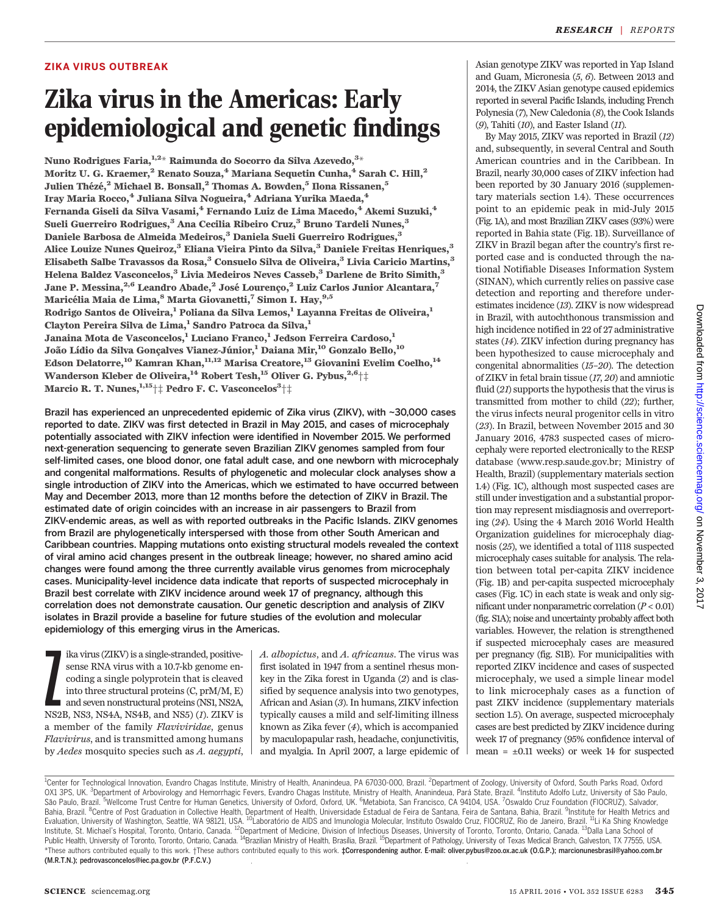## ZIKA VIRUS OUTBREAK

# Zika virus in the Americas: Early epidemiological and genetic findings

Nuno Rodrigues Faria, $^{1,2\ast}$  Raimunda do Socorro da Silva Azevedo, $^{3\ast}$ Moritz U. G. Kraemer,<sup>2</sup> Renato Souza,<sup>4</sup> Mariana Sequetin Cunha,<sup>4</sup> Sarah C. Hill,<sup>2</sup> Julien Thézé,<sup>2</sup> Michael B. Bonsall,<sup>2</sup> Thomas A. Bowden,<sup>5</sup> Ilona Rissanen,<sup>5</sup> Iray Maria Rocco,<sup>4</sup> Juliana Silva Nogueira,<sup>4</sup> Adriana Yurika Maeda,<sup>4</sup> Fernanda Giseli da Silva Vasami,<sup>4</sup> Fernando Luiz de Lima Macedo,<sup>4</sup> Akemi Suzuki,<sup>4</sup> Sueli Guerreiro Rodrigues,<sup>3</sup> Ana Cecilia Ribeiro Cruz,<sup>3</sup> Bruno Tardeli Nunes,<sup>3</sup> Daniele Barbosa de Almeida Medeiros,<sup>3</sup> Daniela Sueli Guerreiro Rodrigues,<sup>3</sup> Alice Louize Nunes Queiroz,<sup>3</sup> Eliana Vieira Pinto da Silva,<sup>3</sup> Daniele Freitas Henriques,<sup>3</sup> Elisabeth Salbe Travassos da Rosa,<sup>3</sup> Consuelo Silva de Oliveira,<sup>3</sup> Livia Caricio Martins,<sup>3</sup> Helena Baldez Vasconcelos,<sup>3</sup> Livia Medeiros Neves Casseb,<sup>3</sup> Darlene de Brito Simith,<sup>3</sup> Jane P. Messina, <sup>2,6</sup> Leandro Abade, <sup>2</sup> José Lourenço, <sup>2</sup> Luiz Carlos Junior Alcantara,<sup>7</sup> Maricélia Maia de Lima, <sup>8</sup> Marta Giovanetti, <sup>7</sup> Simon I. Hay, <sup>9,5</sup> Rodrigo Santos de Oliveira,<sup>1</sup> Poliana da Silva Lemos,<sup>1</sup> Layanna Freitas de Oliveira,<sup>1</sup> Clayton Pereira Silva de Lima,<sup>1</sup> Sandro Patroca da Silva,<sup>1</sup> Janaina Mota de Vasconcelos,<sup>1</sup> Luciano Franco,<sup>1</sup> Jedson Ferreira Cardoso,<sup>1</sup> João Lídio da Silva Gonçalves Vianez-Júnior,<sup>1</sup> Daiana Mir,<sup>10</sup> Gonzalo Bello,<sup>10</sup> Edson Delatorre,<sup>10</sup> Kamran Khan,<sup>11,12</sup> Marisa Creatore,<sup>13</sup> Giovanini Evelim Coelho,<sup>14</sup> Wanderson Kleber de Oliveira,<sup>14</sup> Robert Tesh,<sup>15</sup> Oliver G. Pybus,<sup>2,6</sup><sup>†</sup>‡ Marcio R. T. Nunes, $^{1,15}$  $\uparrow\ddagger$  Pedro F. C. Vasconcelos $^3\uparrow\ddagger$ 

Brazil has experienced an unprecedented epidemic of Zika virus (ZIKV), with ~30,000 cases reported to date. ZIKV was first detected in Brazil in May 2015, and cases of microcephaly potentially associated with ZIKV infection were identified in November 2015. We performed next-generation sequencing to generate seven Brazilian ZIKV genomes sampled from four self-limited cases, one blood donor, one fatal adult case, and one newborn with microcephaly and congenital malformations. Results of phylogenetic and molecular clock analyses show a single introduction of ZIKV into the Americas, which we estimated to have occurred between May and December 2013, more than 12 months before the detection of ZIKV in Brazil. The estimated date of origin coincides with an increase in air passengers to Brazil from ZIKV-endemic areas, as well as with reported outbreaks in the Pacific Islands. ZIKV genomes from Brazil are phylogenetically interspersed with those from other South American and Caribbean countries. Mapping mutations onto existing structural models revealed the context of viral amino acid changes present in the outbreak lineage; however, no shared amino acid changes were found among the three currently available virus genomes from microcephaly cases. Municipality-level incidence data indicate that reports of suspected microcephaly in Brazil best correlate with ZIKV incidence around week 17 of pregnancy, although this correlation does not demonstrate causation. Our genetic description and analysis of ZIKV isolates in Brazil provide a baseline for future studies of the evolution and molecular epidemiology of this emerging virus in the Americas.

ika virus (ZIKV) is a single-stranded, positive-<br>sense RNA virus with a 10.7-kb genome en-<br>coding a single polyprotein that is cleaved<br>into three structural proteins (C, prM/M, E)<br>and seven nonstructural proteins (NS1, NS2 ika virus (ZIKV) is a single-stranded, positivesense RNA virus with a 10.7-kb genome encoding a single polyprotein that is cleaved into three structural proteins (C, prM/M, E) and seven nonstructural proteins (NS1, NS2A, a member of the family Flaviviridae, genus Flavivirus, and is transmitted among humans by Aedes mosquito species such as A. aegypti, A. albopictus, and A. africanus. The virus was first isolated in 1947 from a sentinel rhesus monkey in the Zika forest in Uganda (2) and is classified by sequence analysis into two genotypes, African and Asian (3). In humans, ZIKV infection typically causes a mild and self-limiting illness known as Zika fever (4), which is accompanied by maculopapular rash, headache, conjunctivitis, and myalgia. In April 2007, a large epidemic of

Asian genotype ZIKV was reported in Yap Island and Guam, Micronesia (5, 6). Between 2013 and 2014, the ZIKV Asian genotype caused epidemics reported in several Pacific Islands, including French Polynesia (7), New Caledonia (8), the Cook Islands (9), Tahiti (10), and Easter Island (11).

By May 2015, ZIKV was reported in Brazil (12) and, subsequently, in several Central and South American countries and in the Caribbean. In Brazil, nearly 30,000 cases of ZIKV infection had been reported by 30 January 2016 (supplementary materials section 1.4). These occurrences point to an epidemic peak in mid-July 2015 (Fig. 1A), and most Brazilian ZIKV cases (93%) were reported in Bahia state (Fig. 1B). Surveillance of ZIKV in Brazil began after the country's first reported case and is conducted through the national Notifiable Diseases Information System (SINAN), which currently relies on passive case detection and reporting and therefore underestimates incidence (13). ZIKV is now widespread in Brazil, with autochthonous transmission and high incidence notified in 22 of 27 administrative states (14). ZIKV infection during pregnancy has been hypothesized to cause microcephaly and congenital abnormalities (15–20). The detection of ZIKV in fetal brain tissue (17, 20) and amniotic fluid (21) supports the hypothesis that the virus is transmitted from mother to child (22); further, the virus infects neural progenitor cells in vitro (23). In Brazil, between November 2015 and 30 January 2016, 4783 suspected cases of microcephaly were reported electronically to the RESP database (www.resp.saude.gov.br; Ministry of Health, Brazil) (supplementary materials section 1.4) (Fig. 1C), although most suspected cases are still under investigation and a substantial proportion may represent misdiagnosis and overreporting (24). Using the 4 March 2016 World Health Organization guidelines for microcephaly diagnosis (25), we identified a total of 1118 suspected microcephaly cases suitable for analysis. The relation between total per-capita ZIKV incidence (Fig. 1B) and per-capita suspected microcephaly cases (Fig. 1C) in each state is weak and only significant under nonparametric correlation  $(P < 0.01)$ (fig. S1A); noise and uncertainty probably affect both variables. However, the relation is strengthened if suspected microcephaly cases are measured per pregnancy (fig. S1B). For municipalities with reported ZIKV incidence and cases of suspected microcephaly, we used a simple linear model to link microcephaly cases as a function of past ZIKV incidence (supplementary materials section 1.5). On average, suspected microcephaly cases are best predicted by ZIKV incidence during week 17 of pregnancy (95% confidence interval of mean =  $\pm 0.11$  weeks) or week 14 for suspected

<sup>&</sup>lt;sup>1</sup>Center for Technological Innovation, Evandro Chagas Institute, Ministry of Health, Ananindeua, PA 67030-000, Brazil. <sup>2</sup>Department of Zoology, University of Oxford, South Parks Road, Oxford OX1 3PS, UK. <sup>3</sup>Department of Arbovirology and Hemorrhagic Fevers, Evandro Chagas Institute, Ministry of Health, Ananindeua, Pará State, Brazil. <sup>4</sup>Instituto Adolfo Lutz, University of São Paulo, São Paulo, Brazil. <sup>5</sup>Wellcome Trust Centre for Human Genetics, University of Oxford, Oxford, UK. <sup>6</sup>Metabiota, San Francisco, CA 94104, USA. <sup>7</sup>Oswaldo Cruz Foundation (FIOCRUZ), Salvador, Bahia, Brazil. <sup>8</sup>Centre of Post Graduation in Collective Health, Department of Health, Universidade Estadual de Feira de Santana, Feira de Santana, Bahia, Brazil. <sup>9</sup>Institute for Health Metrics and<br>Evaluation, University Institute, St. Michael's Hospital, Toronto, Ontario, Canada. <sup>12</sup>Department of Medicine, Division of Infectious Diseases, University of Toronto, Toronto, Ontario, Canada. <sup>13</sup>Dalla Lana School of<br>Public Health, University \*These authors contributed equally to this work. †These authors contributed equally to this work. *‡*Correspondening author. E-mail: oliver.pybus@zoo.ox.ac.uk (O.G.P.); marcionunesbrasil@yahoo.com.br (M.R.T.N.); pedrovasconcelos@iec.pa.gov.br (P.F.C.V.)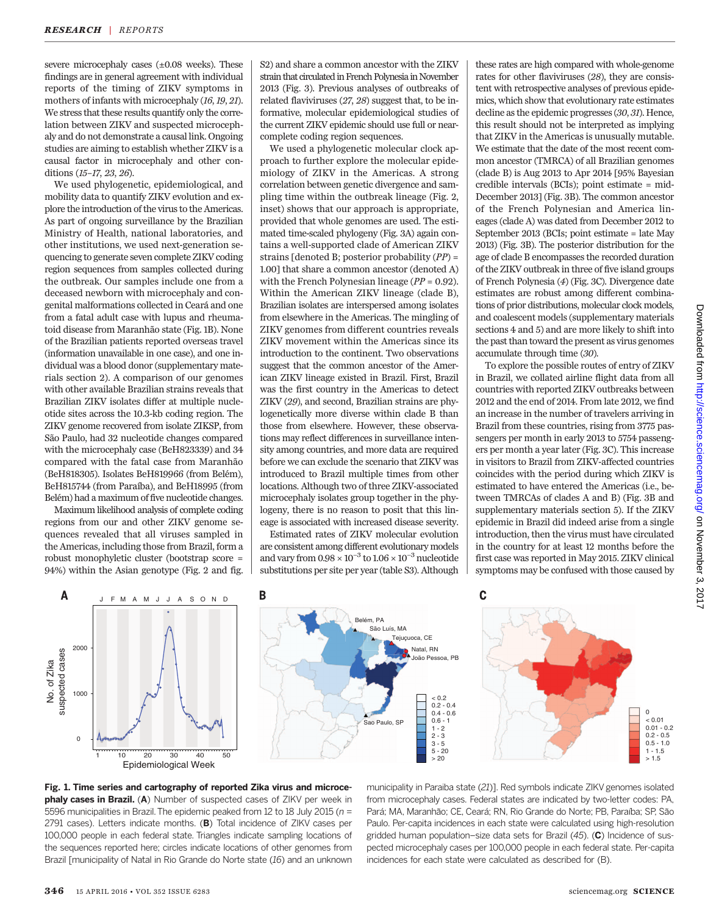severe microcephaly cases  $(\pm 0.08$  weeks). These findings are in general agreement with individual reports of the timing of ZIKV symptoms in mothers of infants with microcephaly (16,19, 21). We stress that these results quantify only the correlation between ZIKV and suspected microcephaly and do not demonstrate a causal link. Ongoing studies are aiming to establish whether ZIKV is a causal factor in microcephaly and other conditions (15–17, 23, 26).

We used phylogenetic, epidemiological, and mobility data to quantify ZIKV evolution and explore the introduction of the virus to the Americas. As part of ongoing surveillance by the Brazilian Ministry of Health, national laboratories, and other institutions, we used next-generation sequencing to generate seven complete ZIKV coding region sequences from samples collected during the outbreak. Our samples include one from a deceased newborn with microcephaly and congenital malformations collected in Ceará and one from a fatal adult case with lupus and rheumatoid disease from Maranhão state (Fig. 1B). None of the Brazilian patients reported overseas travel (information unavailable in one case), and one individual was a blood donor (supplementary materials section 2). A comparison of our genomes with other available Brazilian strains reveals that Brazilian ZIKV isolates differ at multiple nucleotide sites across the 10.3-kb coding region. The ZIKV genome recovered from isolate ZIKSP, from São Paulo, had 32 nucleotide changes compared with the microcephaly case (BeH823339) and 34 compared with the fatal case from Maranhão (BeH818305). Isolates BeH819966 (from Belém), BeH815744 (from Paraíba), and BeH18995 (from Belém) had a maximum of five nucleotide changes.

Maximum likelihood analysis of complete coding regions from our and other ZIKV genome sequences revealed that all viruses sampled in the Americas, including those from Brazil, form a robust monophyletic cluster (bootstrap score = 94%) within the Asian genotype (Fig. 2 and fig. S2) and share a common ancestor with the ZIKV strain that circulated in French Polynesia in November 2013 (Fig. 3). Previous analyses of outbreaks of related flaviviruses (27, 28) suggest that, to be informative, molecular epidemiological studies of the current ZIKV epidemic should use full or nearcomplete coding region sequences.

We used a phylogenetic molecular clock approach to further explore the molecular epidemiology of ZIKV in the Americas. A strong correlation between genetic divergence and sampling time within the outbreak lineage (Fig. 2, inset) shows that our approach is appropriate, provided that whole genomes are used. The estimated time-scaled phylogeny (Fig. 3A) again contains a well-supported clade of American ZIKV strains [denoted B; posterior probability (PP) = 1.00] that share a common ancestor (denoted A) with the French Polynesian lineage  $(PP = 0.92)$ . Within the American ZIKV lineage (clade B), Brazilian isolates are interspersed among isolates from elsewhere in the Americas. The mingling of ZIKV genomes from different countries reveals ZIKV movement within the Americas since its introduction to the continent. Two observations suggest that the common ancestor of the American ZIKV lineage existed in Brazil. First, Brazil was the first country in the Americas to detect ZIKV (29), and second, Brazilian strains are phylogenetically more diverse within clade B than those from elsewhere. However, these observations may reflect differences in surveillance intensity among countries, and more data are required before we can exclude the scenario that ZIKV was introduced to Brazil multiple times from other locations. Although two of three ZIKV-associated microcephaly isolates group together in the phylogeny, there is no reason to posit that this lineage is associated with increased disease severity.

Estimated rates of ZIKV molecular evolution are consistent among different evolutionary models and vary from  $0.98 \times 10^{-3}$  to  $1.06 \times 10^{-3}$  nucleotide substitutions per site per year (table S3). Although

these rates are high compared with whole-genome rates for other flaviviruses (28), they are consistent with retrospective analyses of previous epidemics, which show that evolutionary rate estimates decline as the epidemic progresses (30, 31). Hence, this result should not be interpreted as implying that ZIKV in the Americas is unusually mutable. We estimate that the date of the most recent common ancestor (TMRCA) of all Brazilian genomes (clade B) is Aug 2013 to Apr 2014 [95% Bayesian credible intervals (BCIs); point estimate = mid-December 2013] (Fig. 3B). The common ancestor of the French Polynesian and America lineages (clade A) was dated from December 2012 to September 2013 (BCIs; point estimate = late May 2013) (Fig. 3B). The posterior distribution for the age of clade B encompasses the recorded duration of the ZIKV outbreak in three of five island groups of French Polynesia (4) (Fig. 3C). Divergence date estimates are robust among different combinations of prior distributions, molecular clock models, and coalescent models (supplementary materials sections 4 and 5) and are more likely to shift into the past than toward the present as virus genomes accumulate through time (30).

To explore the possible routes of entry of ZIKV in Brazil, we collated airline flight data from all countries with reported ZIKV outbreaks between 2012 and the end of 2014. From late 2012, we find an increase in the number of travelers arriving in Brazil from these countries, rising from 3775 passengers per month in early 2013 to 5754 passengers per month a year later (Fig. 3C). This increase in visitors to Brazil from ZIKV-affected countries coincides with the period during which ZIKV is estimated to have entered the Americas (i.e., between TMRCAs of clades A and B) (Fig. 3B and supplementary materials section 5). If the ZIKV epidemic in Brazil did indeed arise from a single introduction, then the virus must have circulated in the country for at least 12 months before the first case was reported in May 2015. ZIKV clinical symptoms may be confused with those caused by



municipality in Paraiba state (21)]. Red symbols indicate ZIKV genomes isolated from microcephaly cases. Federal states are indicated by two-letter codes: PA, Pará; MA, Maranhão; CE, Ceará; RN, Rio Grande do Norte; PB, Paraíba; SP, São Paulo. Per-capita incidences in each state were calculated using high-resolution gridded human population–size data sets for Brazil  $(45)$ . (C) Incidence of suspected microcephaly cases per 100,000 people in each federal state. Per-capita incidences for each state were calculated as described for (B).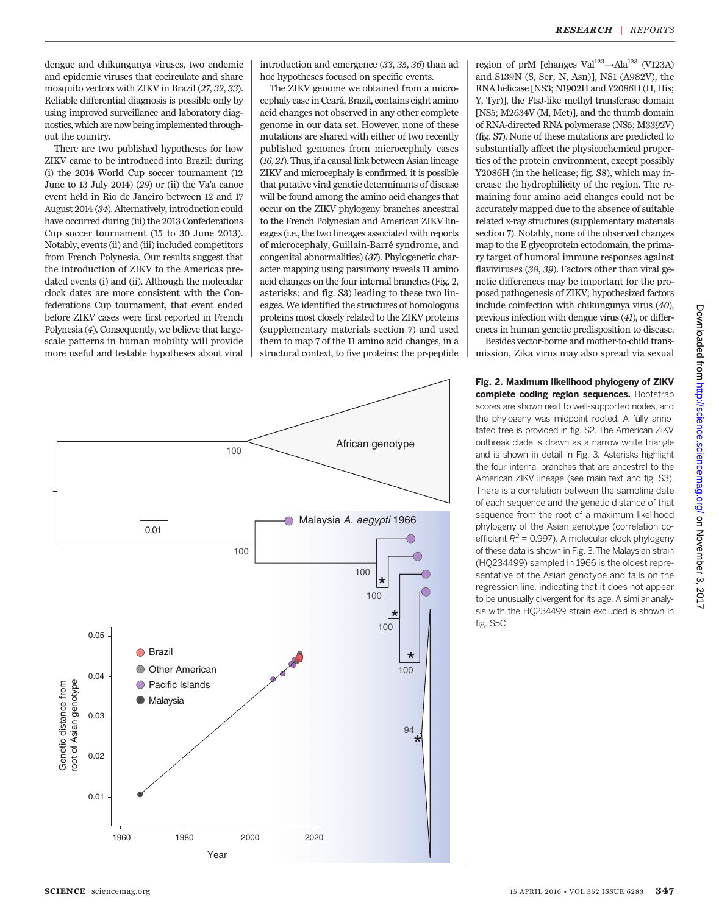dengue and chikungunya viruses, two endemic and epidemic viruses that cocirculate and share mosquito vectors with ZIKV in Brazil (27, 32, 33). Reliable differential diagnosis is possible only by using improved surveillance and laboratory diagnostics, which are now being implemented throughout the country.

There are two published hypotheses for how ZIKV came to be introduced into Brazil: during (i) the 2014 World Cup soccer tournament (12 June to 13 July 2014) (29) or (ii) the Va'a canoe event held in Rio de Janeiro between 12 and 17 August 2014 (34). Alternatively, introduction could have occurred during (iii) the 2013 Confederations Cup soccer tournament (15 to 30 June 2013). Notably, events (ii) and (iii) included competitors from French Polynesia. Our results suggest that the introduction of ZIKV to the Americas predated events (i) and (ii). Although the molecular clock dates are more consistent with the Confederations Cup tournament, that event ended before ZIKV cases were first reported in French Polynesia (4). Consequently, we believe that largescale patterns in human mobility will provide more useful and testable hypotheses about viral

introduction and emergence (33, 35, 36) than ad hoc hypotheses focused on specific events.

The ZIKV genome we obtained from a microcephaly case in Ceará, Brazil, contains eight amino acid changes not observed in any other complete genome in our data set. However, none of these mutations are shared with either of two recently published genomes from microcephaly cases (16, 21). Thus, if a causal link between Asian lineage ZIKV and microcephaly is confirmed, it is possible that putative viral genetic determinants of disease will be found among the amino acid changes that occur on the ZIKV phylogeny branches ancestral to the French Polynesian and American ZIKV lineages (i.e., the two lineages associated with reports of microcephaly, Guillain-Barré syndrome, and congenital abnormalities) (37). Phylogenetic character mapping using parsimony reveals 11 amino acid changes on the four internal branches (Fig. 2, asterisks; and fig. S3) leading to these two lineages. We identified the structures of homologous proteins most closely related to the ZIKV proteins (supplementary materials section 7) and used them to map 7 of the 11 amino acid changes, in a structural context, to five proteins: the pr-peptide



region of prM [changes Val<sup>123</sup> $\rightarrow$ Ala<sup>123</sup> (V123A) and S139N (S, Ser; N, Asn)], NS1 (A982V), the RNA helicase [NS3; N1902H and Y2086H (H, His; Y, Tyr)], the FtsJ-like methyl transferase domain [NS5; M2634V (M, Met)], and the thumb domain of RNA-directed RNA polymerase (NS5; M3392V) (fig. S7). None of these mutations are predicted to substantially affect the physicochemical properties of the protein environment, except possibly Y2086H (in the helicase; fig. S8), which may increase the hydrophilicity of the region. The remaining four amino acid changes could not be accurately mapped due to the absence of suitable related x-ray structures (supplementary materials section 7). Notably, none of the observed changes map to the E glycoprotein ectodomain, the primary target of humoral immune responses against flaviviruses (38, 39). Factors other than viral genetic differences may be important for the proposed pathogenesis of ZIKV; hypothesized factors include coinfection with chikungunya virus (40), previous infection with dengue virus (41), or differences in human genetic predisposition to disease.

Besides vector-borne and mother-to-child transmission, Zika virus may also spread via sexual

Fig. 2. Maximum likelihood phylogeny of ZIKV complete coding region sequences. Bootstrap scores are shown next to well-supported nodes, and the phylogeny was midpoint rooted. A fully annotated tree is provided in fig. S2. The American ZIKV outbreak clade is drawn as a narrow white triangle and is shown in detail in Fig. 3. Asterisks highlight the four internal branches that are ancestral to the American ZIKV lineage (see main text and fig. S3). There is a correlation between the sampling date of each sequence and the genetic distance of that sequence from the root of a maximum likelihood phylogeny of the Asian genotype (correlation coefficient  $R^2$  = 0.997). A molecular clock phylogeny of these data is shown in Fig. 3.The Malaysian strain (HQ234499) sampled in 1966 is the oldest representative of the Asian genotype and falls on the regression line, indicating that it does not appear to be unusually divergent for its age. A similar analysis with the HQ234499 strain excluded is shown in fig. S5C.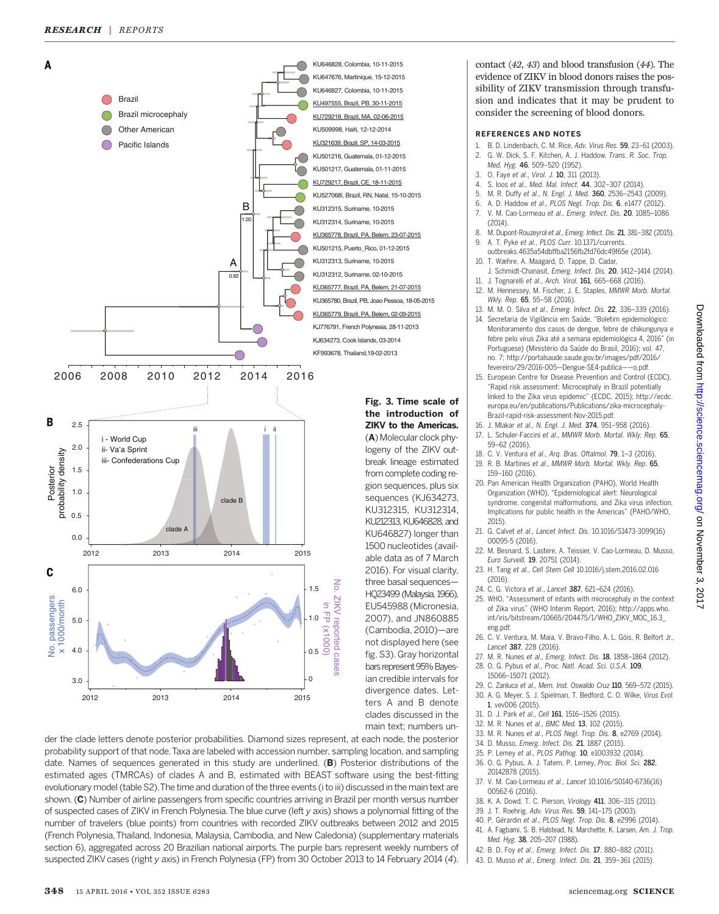

der the clade letters denote posterior probabilities. Diamond sizes represent, at each node, the posterior probability support of that node.Taxa are labeled with accession number, sampling location, and sampling date. Names of sequences generated in this study are underlined. (B) Posterior distributions of the estimated ages (TMRCAs) of clades A and B, estimated with BEAST software using the best-fitting evolutionary model (table S2).The time and duration of the three events (i to iii) discussed in the main text are shown. (C) Number of airline passengers from specific countries arriving in Brazil per month versus number of suspected cases of ZIKV in French Polynesia.The blue curve (left y axis) shows a polynomial fitting of the number of travelers (blue points) from countries with recorded ZIKV outbreaks between 2012 and 2015 (French Polynesia, Thailand, Indonesia, Malaysia, Cambodia, and New Caledonia) (supplementary materials section 6), aggregated across 20 Brazilian national airports. The purple bars represent weekly numbers of suspected ZIKV cases (right y axis) in French Polynesia (FP) from 30 October 2013 to 14 February 2014 (4). contact (42, 43) and blood transfusion (44). The evidence of ZIKV in blood donors raises the possibility of ZIKV transmission through transfusion and indicates that it may be prudent to consider the screening of blood donors.

#### REFERENCES AND NOTES

- 1. B. D. Lindenbach, C. M. Rice, Adv. Virus Res. 59, 23-61 (2003).
- 2. G. W. Dick, S. F. Kitchen, A. J. Haddow, Trans. R. Soc. Trop. Med. Hyg. 46, 509–520 (1952).
- 3. O. Faye et al., Virol. J. 10, 311 (2013).
- 4. S. Ioos et al., Med. Mal. Infect. 44, 302–307 (2014).
- 5. M. R. Duffy et al., N. Engl. J. Med. 360, 2536–2543 (2009).
- 6. A. D. Haddow et al., PLOS Negl. Trop. Dis. 6, e1477 (2012). 7. V. M. Cao-Lormeau et al., Emerg. Infect. Dis. 20, 1085–1086 (2014).
- 8. M. Dupont-Rouzeyrol et al., Emerg. Infect. Dis. 21, 381–382 (2015). 9. A. T. Pyke et al., PLOS Curr. 10.1371/currents.
- outbreaks.4635a54dbffba2156fb2fd76dc49f65e (2014). 10. T. Wæhre, A. Maagard, D. Tappe, D. Cadar,
- J. Schmidt-Chanasit, Emerg. Infect. Dis. 20, 1412–1414 (2014). 11. J. Tognarelli et al., Arch. Virol. 161, 665–668 (2016).
- 12. M. Hennessey, M. Fischer, J. E. Staples, MMWR Morb. Mortal. Wkly. Rep. 65, 55–58 (2016).
- 13. M. M. O. Silva et al., Emerg. Infect. Dis. 22, 336–339 (2016). 14. Secretaria de Vigilância em Saúde, "Boletim epidemiológico: Monitoramento dos casos de dengue, febre de chikungunya e
- febre pelo vírus Zika até a semana epidemiológica 4, 2016" (in Portuguese) (Ministério da Saúde do Brasil, 2016); vol. 47, no. 7; http://portalsaude.saude.gov.br/images/pdf/2016/ fevereiro/29/2016-005—Dengue-SE4-publica——o.pdf.
- 15. European Centre for Disease Prevention and Control (ECDC), "Rapid risk assessment: Microcephaly in Brazil potentially linked to the Zika virus epidemic" (ECDC, 2015); http://ecdc. europa.eu/en/publications/Publications/zika-microcephaly-Brazil-rapid-risk-assessment-Nov-2015.pdf.
- 16. J. Mlakar et al., N. Engl. J. Med. 374, 951–958 (2016). 17. L. Schuler-Faccini et al., MMWR Morb. Mortal. Wkly. Rep. 65, 59–62 (2016).
- 18. C. V. Ventura et al., Arq. Bras. Oftalmol. 79, 1-3 (2016). 19. R. B. Martines et al., MMWR Morb. Mortal. Wkly. Rep. 65, 159–160 (2016).
- 20. Pan American Health Organization (PAHO), World Health Organization (WHO), "Epidemiological alert: Neurological syndrome, congenital malformations, and Zika virus infection. Implications for public health in the Americas" (PAHO/WHO, 2015).
- 21. G. Calvet et al., Lancet Infect. Dis. 10.1016/S1473-3099(16) 00095-5 (2016).
- 22. M. Besnard, S. Lastere, A. Teissier, V. Cao-Lormeau, D. Musso, Euro Surveill. 19, 20751 (2014).
- 23. H. Tang et al., Cell Stem Cell 10.1016/j.stem.2016.02.016  $(2016)$
- 24. C. G. Victora et al., Lancet 387, 621–624 (2016).
- 25. WHO, "Assessment of infants with microcephaly in the context of Zika virus" (WHO Interim Report, 2016); http://apps.who. int/iris/bitstream/10665/204475/1/WHO\_ZIKV\_MOC\_16.3\_ eng.pdf.
- 26. C. V. Ventura, M. Maia, V. Bravo-Filho, A. L. Góis, R. Belfort Jr., Lancet 387, 228 (2016).
- 27. M. R. Nunes et al., Emerg. Infect. Dis. 18, 1858–1864 (2012).
- 28. O. G. Pybus et al., Proc. Natl. Acad. Sci. U.S.A. 109, 15066–15071 (2012).
- 29. C. Zanluca et al., Mem. Inst. Oswaldo Cruz 110, 569–572 (2015). 30. A. G. Meyer, S. J. Spielman, T. Bedford, C. O. Wilke, Virus Evol. 1, vev006 (2015).
- 31. D. J. Park et al., Cell 161, 1516–1526 (2015).
- 32. M. R. Nunes et al., BMC Med. 13, 102 (2015).
- 33. M. R. Nunes et al., PLOS Negl. Trop. Dis. 8, e2769 (2014).
- 34. D. Musso, Emerg. Infect. Dis. 21, 1887 (2015).
- 35. P. Lemey et al., PLOS Pathog. 10, e1003932 (2014).
- 36. O. G. Pybus, A. J. Tatem, P. Lemey, Proc. Biol. Sci. 282, 20142878 (2015).
- 37. V. M. Cao-Lormeau et al., Lancet 10.1016/S0140-6736(16) 00562-6 (2016).
- 38. K. A. Dowd, T. C. Pierson, Virology 411, 306-315 (2011).
- 39. J. T. Roehrig, Adv. Virus Res. 59, 141–175 (2003).
- 40. P. Gérardin et al., PLOS Negl. Trop. Dis. 8, e2996 (2014). 41. A. Fagbami, S. B. Halstead, N. Marchette, K. Larsen, Am. J. Trop.
- Med. Hyg. 38, 205–207 (1988). 42. B. D. Foy et al., Emerg. Infect. Dis. 17, 880-882 (2011).
- 
- 43. D. Musso et al., Emerg. Infect. Dis. 21, 359–361 (2015).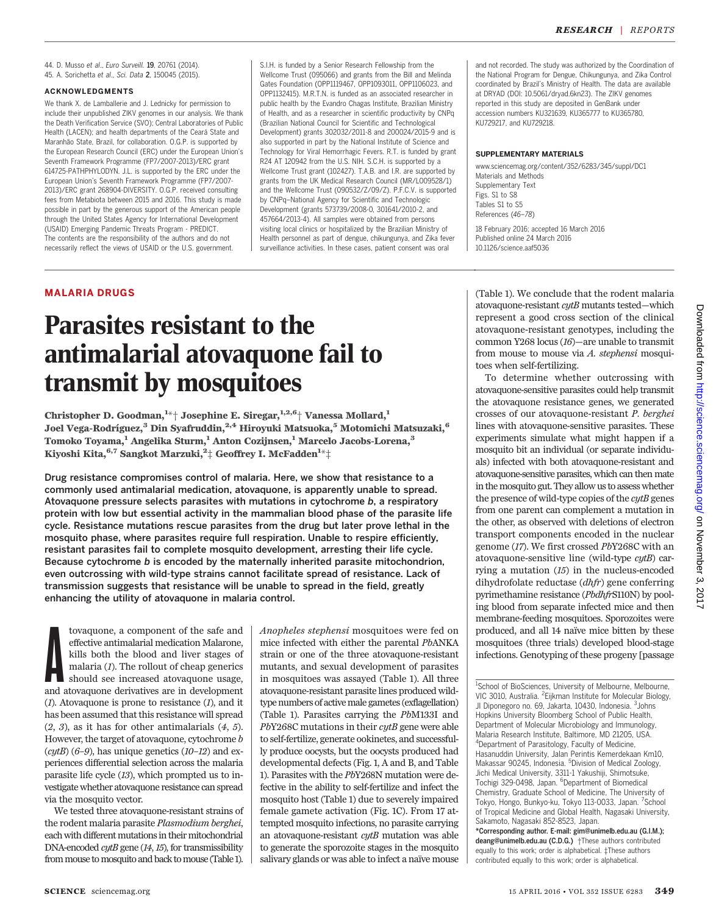44. D. Musso et al., Euro Surveill. 19, 20761 (2014). 45. A. Sorichetta et al., Sci. Data 2, 150045 (2015).

#### ACKNOWLEDGMENTS

We thank X. de Lamballerie and J. Lednicky for permission to include their unpublished ZIKV genomes in our analysis. We thank the Death Verification Service (SVO); Central Laboratories of Public Health (LACEN); and health departments of the Ceará State and Maranhão State, Brazil, for collaboration. O.G.P. is supported by the European Research Council (ERC) under the European Union's Seventh Framework Programme (FP7/2007-2013)/ERC grant 614725-PATHPHYLODYN. J.L. is supported by the ERC under the European Union's Seventh Framework Programme (FP7/2007- 2013)/ERC grant 268904-DIVERSITY. O.G.P. received consulting fees from Metabiota between 2015 and 2016. This study is made possible in part by the generous support of the American people through the United States Agency for International Development (USAID) Emerging Pandemic Threats Program - PREDICT. The contents are the responsibility of the authors and do not necessarily reflect the views of USAID or the U.S. government.

S.I.H. is funded by a Senior Research Fellowship from the Wellcome Trust (095066) and grants from the Bill and Melinda Gates Foundation (OPP1119467, OPP1093011, OPP1106023, and OPP1132415). M.R.T.N. is funded as an associated researcher in public health by the Evandro Chagas Institute, Brazilian Ministry of Health, and as a researcher in scientific productivity by CNPq (Brazilian National Council for Scientific and Technological Development) grants 302032/2011-8 and 200024/2015-9 and is also supported in part by the National Institute of Science and Technology for Viral Hemorrhagic Fevers. R.T. is funded by grant R24 AT 120942 from the U.S. NIH. S.C.H. is supported by a Wellcome Trust grant (102427). T.A.B. and I.R. are supported by grants from the UK Medical Research Council (MR/L009528/1) and the Wellcome Trust (090532/Z/09/Z). P.F.C.V. is supported by CNPq–National Agency for Scientific and Technologic Development (grants 573739/2008-0, 301641/2010-2, and 457664/2013-4). All samples were obtained from persons visiting local clinics or hospitalized by the Brazilian Ministry of Health personnel as part of dengue, chikungunya, and Zika fever surveillance activities. In these cases, patient consent was oral

and not recorded. The study was authorized by the Coordination of the National Program for Dengue, Chikungunya, and Zika Control coordinated by Brazil's Ministry of Health. The data are available at DRYAD (DOI: 10.5061/dryad.6kn23). The ZIKV genomes reported in this study are deposited in GenBank under accession numbers KU321639, KU365777 to KU365780, KU729217, and KU729218.

#### SUPPLEMENTARY MATERIALS

www.sciencemag.org/content/352/6283/345/suppl/DC1 Materials and Methods Supplementary Text Figs. S1 to S8 Tables S1 to S5 References (46–78)

18 February 2016; accepted 16 March 2016 Published online 24 March 2016 10.1126/science.aaf5036

#### MALARIA DRUGS

# Parasites resistant to the antimalarial atovaquone fail to transmit by mosquitoes

Christopher D. Goodman, $^{1*\dagger}$  Josephine E. Siregar, $^{1,2,6\dagger}$  Vanessa Mollard, $^{1}$ Joel Vega-Rodríguez,<sup>3</sup> Din Syafruddin,<sup>2,4</sup> Hiroyuki Matsuoka,<sup>5</sup> Motomichi Matsuzaki,<sup>6</sup> Tomoko Toyama,<sup>1</sup> Angelika Sturm,<sup>1</sup> Anton Cozijnsen,<sup>1</sup> Marcelo Jacobs-Lorena,<sup>3</sup> Kiyoshi Kita, $^{6,7}$  Sangkot Marzuki, $^{2\pm}$  Geoffrey I. McFadden $^{1\star}\pm$ 

Drug resistance compromises control of malaria. Here, we show that resistance to a commonly used antimalarial medication, atovaquone, is apparently unable to spread. Atovaquone pressure selects parasites with mutations in cytochrome b, a respiratory protein with low but essential activity in the mammalian blood phase of the parasite life cycle. Resistance mutations rescue parasites from the drug but later prove lethal in the mosquito phase, where parasites require full respiration. Unable to respire efficiently, resistant parasites fail to complete mosquito development, arresting their life cycle. Because cytochrome b is encoded by the maternally inherited parasite mitochondrion, even outcrossing with wild-type strains cannot facilitate spread of resistance. Lack of transmission suggests that resistance will be unable to spread in the field, greatly enhancing the utility of atovaquone in malaria control.

 $\begin{tabular}{l} to vaquence, a component of the safe and effective antimalarial medication Malarone, kills both the blood and liver stages of malaria (I). The rollout of cheap generics should see increased atovaquence usage, and atovaquence derivatives are in development. \end{tabular}$ tovaquone, a component of the safe and effective antimalarial medication Malarone, kills both the blood and liver stages of malaria  $(I)$ . The rollout of cheap generics should see increased atovaquone usage,  $(1)$ . Atovaquone is prone to resistance  $(1)$ , and it has been assumed that this resistance will spread  $(2, 3)$ , as it has for other antimalarials  $(4, 5)$ . However, the target of atovaquone, cytochrome b  $(cytB)$  (6-9), has unique genetics (10-12) and experiences differential selection across the malaria parasite life cycle (13), which prompted us to investigate whether atovaquone resistance can spread via the mosquito vector.

We tested three atovaquone-resistant strains of the rodent malaria parasite Plasmodium berghei, each with different mutations in their mitochondrial DNA-encoded  $cytB$  gene (14, 15), for transmissibility from mouse to mosquito and back to mouse (Table 1).

Anopheles stephensi mosquitoes were fed on mice infected with either the parental PbANKA strain or one of the three atovaquone-resistant mutants, and sexual development of parasites in mosquitoes was assayed (Table 1). All three atovaquone-resistant parasite lines produced wildtype numbers of active male gametes (exflagellation) (Table 1). Parasites carrying the PbM133I and  $PbY268C$  mutations in their  $cytB$  gene were able to self-fertilize, generate ookinetes, and successfully produce oocysts, but the oocysts produced had developmental defects (Fig. 1, A and B, and Table 1). Parasites with the PbY268N mutation were defective in the ability to self-fertilize and infect the mosquito host (Table 1) due to severely impaired female gamete activation (Fig. 1C). From 17 attempted mosquito infections, no parasite carrying an atovaquone-resistant  $cytB$  mutation was able to generate the sporozoite stages in the mosquito salivary glands or was able to infect a naïve mouse (Table 1). We conclude that the rodent malaria atovaquone-resistant cytB mutants tested—which represent a good cross section of the clinical atovaquone-resistant genotypes, including the common Y268 locus (16)—are unable to transmit from mouse to mouse via A. stephensi mosquitoes when self-fertilizing.

To determine whether outcrossing with atovaquone-sensitive parasites could help transmit the atovaquone resistance genes, we generated crosses of our atovaquone-resistant P. berghei lines with atovaquone-sensitive parasites. These experiments simulate what might happen if a mosquito bit an individual (or separate individuals) infected with both atovaquone-resistant and atovaquone-sensitive parasites, which can then mate in the mosquito gut. They allow us to assess whether the presence of wild-type copies of the cytB genes from one parent can complement a mutation in the other, as observed with deletions of electron transport components encoded in the nuclear genome (17). We first crossed PbY268C with an atovaquone-sensitive line (wild-type cytB) carrying a mutation (15) in the nucleus-encoded dihydrofolate reductase (dhfr) gene conferring pyrimethamine resistance (PbdhfrS110N) by pooling blood from separate infected mice and then membrane-feeding mosquitoes. Sporozoites were produced, and all 14 naïve mice bitten by these mosquitoes (three trials) developed blood-stage infections. Genotyping of these progeny [passage

<sup>&</sup>lt;sup>1</sup>School of BioSciences, University of Melbourne, Melbourne, VIC 3010, Australia. <sup>2</sup> Eijkman Institute for Molecular Biology, JI Diponegoro no. 69, Jakarta, 10430, Indonesia. <sup>3</sup>Johns Hopkins University Bloomberg School of Public Health, Department of Molecular Microbiology and Immunology, Malaria Research Institute, Baltimore, MD 21205, USA. <sup>4</sup>Department of Parasitology, Faculty of Medicine, Hasanuddin University, Jalan Perintis Kemerdekaan Km10, Makassar 90245, Indonesia. <sup>5</sup>Division of Medical Zoology, Jichi Medical University, 3311-1 Yakushiji, Shimotsuke, Tochigi 329-0498, Japan. <sup>6</sup>Department of Biomedical Chemistry, Graduate School of Medicine, The University of Tokyo, Hongo, Bunkyo-ku, Tokyo 113-0033, Japan. <sup>7</sup>School of Tropical Medicine and Global Health, Nagasaki University, Sakamoto, Nagasaki 852-8523, Japan.

<sup>\*</sup>Corresponding author. E-mail: gim@unimelb.edu.au (G.I.M.); deang@unimelb.edu.au (C.D.G.) †These authors contributed equally to this work; order is alphabetical. ‡These authors contributed equally to this work; order is alphabetical.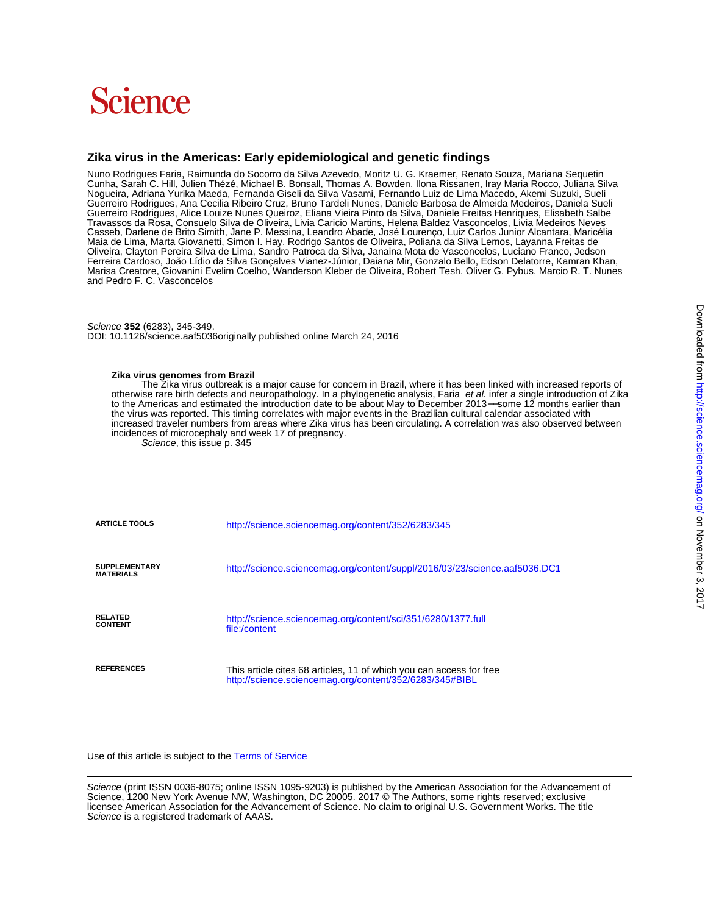# **Science**

## **Zika virus in the Americas: Early epidemiological and genetic findings**

and Pedro F. C. Vasconcelos Marisa Creatore, Giovanini Evelim Coelho, Wanderson Kleber de Oliveira, Robert Tesh, Oliver G. Pybus, Marcio R. T. Nunes Ferreira Cardoso, João Lídio da Silva Gonçalves Vianez-Júnior, Daiana Mir, Gonzalo Bello, Edson Delatorre, Kamran Khan, Oliveira, Clayton Pereira Silva de Lima, Sandro Patroca da Silva, Janaina Mota de Vasconcelos, Luciano Franco, Jedson Maia de Lima, Marta Giovanetti, Simon I. Hay, Rodrigo Santos de Oliveira, Poliana da Silva Lemos, Layanna Freitas de Casseb, Darlene de Brito Simith, Jane P. Messina, Leandro Abade, José Lourenço, Luiz Carlos Junior Alcantara, Maricélia Travassos da Rosa, Consuelo Silva de Oliveira, Livia Caricio Martins, Helena Baldez Vasconcelos, Livia Medeiros Neves Guerreiro Rodrigues, Alice Louize Nunes Queiroz, Eliana Vieira Pinto da Silva, Daniele Freitas Henriques, Elisabeth Salbe Guerreiro Rodrigues, Ana Cecilia Ribeiro Cruz, Bruno Tardeli Nunes, Daniele Barbosa de Almeida Medeiros, Daniela Sueli Nogueira, Adriana Yurika Maeda, Fernanda Giseli da Silva Vasami, Fernando Luiz de Lima Macedo, Akemi Suzuki, Sueli Cunha, Sarah C. Hill, Julien Thézé, Michael B. Bonsall, Thomas A. Bowden, Ilona Rissanen, Iray Maria Rocco, Juliana Silva Nuno Rodrigues Faria, Raimunda do Socorro da Silva Azevedo, Moritz U. G. Kraemer, Renato Souza, Mariana Sequetin

DOI: 10.1126/science.aaf5036originally published online March 24, 2016 Science **352** (6283), 345-349.

#### **Zika virus genomes from Brazil**

Science, this issue p. 345 incidences of microcephaly and week 17 of pregnancy. increased traveler numbers from areas where Zika virus has been circulating. A correlation was also observed between the virus was reported. This timing correlates with major events in the Brazilian cultural calendar associated with to the Americas and estimated the introduction date to be about May to December 2013−−some 12 months earlier than otherwise rare birth defects and neuropathology. In a phylogenetic analysis, Faria et al. infer a single introduction of Zika The Zika virus outbreak is a major cause for concern in Brazil, where it has been linked with increased reports of

| <b>ARTICLE TOOLS</b>              | http://science.sciencemag.org/content/352/6283/345                                                                             |
|-----------------------------------|--------------------------------------------------------------------------------------------------------------------------------|
| SUPPLEMENTARY<br><b>MATERIALS</b> | http://science.sciencemag.org/content/suppl/2016/03/23/science.aaf5036.DC1                                                     |
| <b>RELATED</b><br><b>CONTENT</b>  | http://science.sciencemag.org/content/sci/351/6280/1377.full<br>file:/content                                                  |
| <b>REFERENCES</b>                 | This article cites 68 articles, 11 of which you can access for free<br>http://science.sciencemag.org/content/352/6283/345#BIBL |

Use of this article is subject to the [Terms of Service](http://www.sciencemag.org/about/terms-service)

Science is a registered trademark of AAAS. licensee American Association for the Advancement of Science. No claim to original U.S. Government Works. The title Science, 1200 New York Avenue NW, Washington, DC 20005. 2017 © The Authors, some rights reserved; exclusive Science (print ISSN 0036-8075; online ISSN 1095-9203) is published by the American Association for the Advancement of